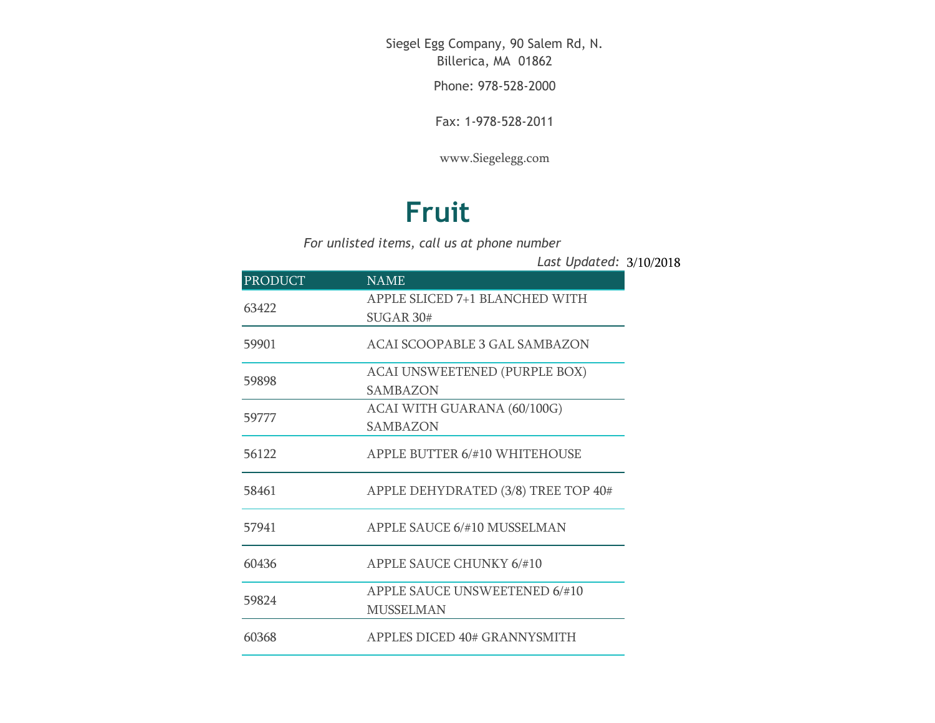Siegel Egg Company, 90 Salem Rd, N. Billerica, MA 01862

Phone: 978-528-2000

Fax: 1-978-528-2011

[www.Siegelegg.com](http://www.siegelegg.com/)

## **Fruit**

*For unlisted items, call us at phone number*

3/10/2018 *Last Updated:*

| <b>PRODUCT</b> | <b>NAME</b>                                        |
|----------------|----------------------------------------------------|
| 63422          | APPLE SLICED 7+1 BLANCHED WITH<br><b>SUGAR 30#</b> |
| 59901          | ACAI SCOOPABLE 3 GAL SAMBAZON                      |
| 59898          | ACAI UNSWEETENED (PURPLE BOX)<br>SAMBAZON          |
| 59777          | ACAI WITH GUARANA (60/100G)<br><b>SAMBAZON</b>     |
| 56122          | APPLE BUTTER 6/#10 WHITEHOUSE                      |
| 58461          | APPLE DEHYDRATED (3/8) TREE TOP 40#                |
| 57941          | APPLE SAUCE 6/#10 MUSSELMAN                        |
| 60436          | <b>APPLE SAUCE CHUNKY 6/#10</b>                    |
| 59824          | APPLE SAUCE UNSWEETENED 6/#10<br><b>MUSSELMAN</b>  |
| 60368          | APPLES DICED 40# GRANNYSMITH                       |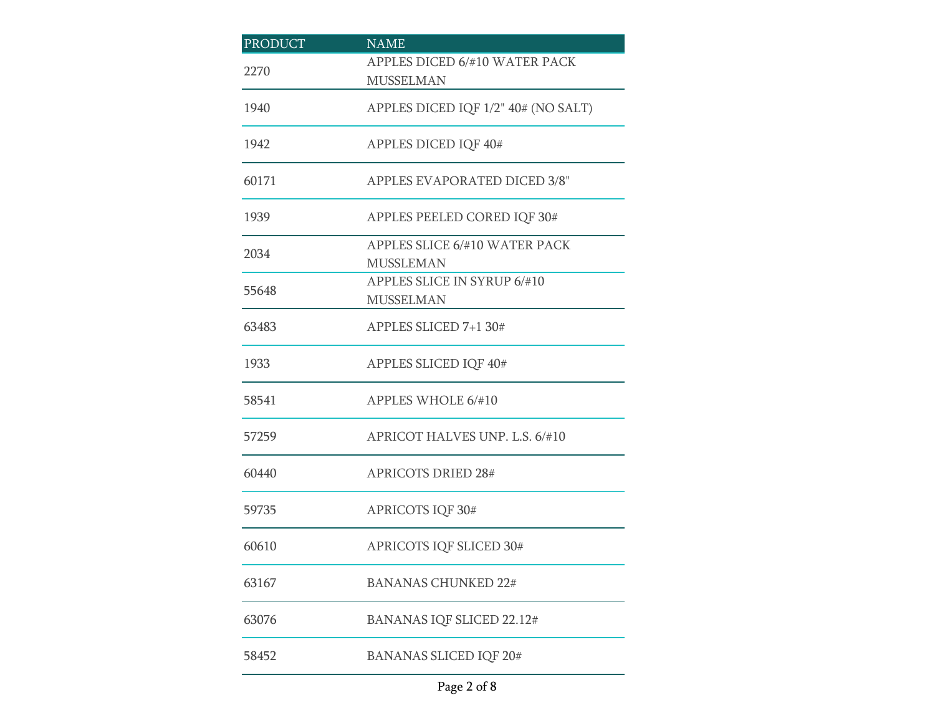| <b>PRODUCT</b> | <b>NAME</b>                                       |
|----------------|---------------------------------------------------|
| 2270           | APPLES DICED 6/#10 WATER PACK<br><b>MUSSELMAN</b> |
| 1940           | APPLES DICED IQF 1/2" 40# (NO SALT)               |
| 1942           | APPLES DICED IQF 40#                              |
| 60171          | APPLES EVAPORATED DICED 3/8"                      |
| 1939           | APPLES PEELED CORED IQF 30#                       |
| 2034           | APPLES SLICE 6/#10 WATER PACK<br><b>MUSSLEMAN</b> |
| 55648          | APPLES SLICE IN SYRUP 6/#10<br><b>MUSSELMAN</b>   |
| 63483          | APPLES SLICED 7+1 30#                             |
| 1933           | APPLES SLICED IQF 40#                             |
| 58541          | APPLES WHOLE 6/#10                                |
| 57259          | APRICOT HALVES UNP. L.S. 6/#10                    |
| 60440          | <b>APRICOTS DRIED 28#</b>                         |
| 59735          | APRICOTS IQF 30#                                  |
| 60610          | APRICOTS IQF SLICED 30#                           |
| 63167          | <b>BANANAS CHUNKED 22#</b>                        |
| 63076          | BANANAS IQF SLICED 22.12#                         |
| 58452          | <b>BANANAS SLICED IQF 20#</b>                     |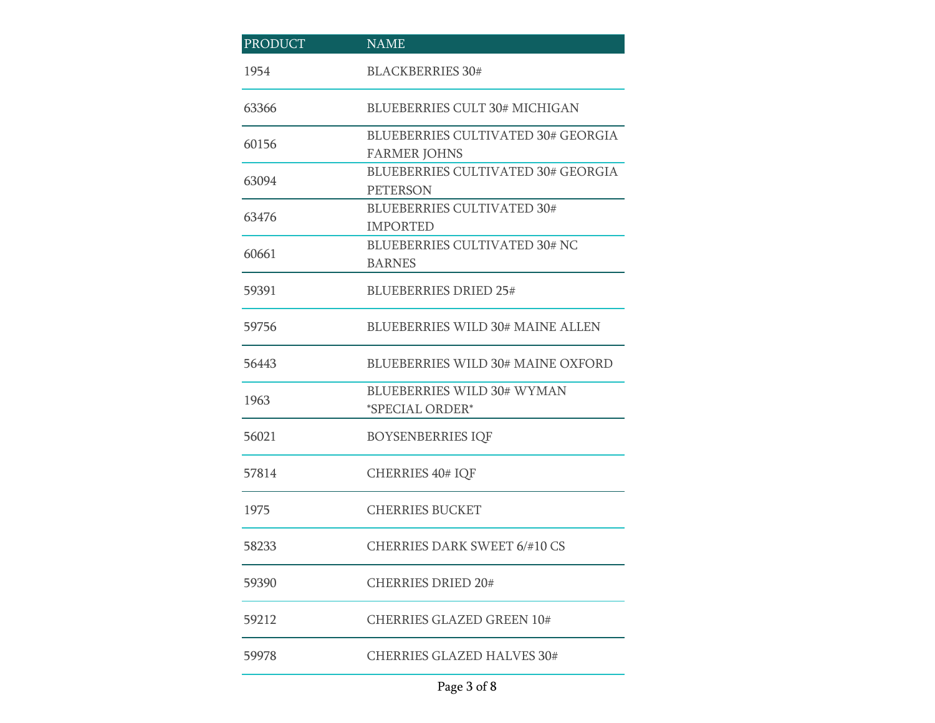| PRODUCT | $NA\overline{ME}$                                                |
|---------|------------------------------------------------------------------|
| 1954    | <b>BLACKBERRIES 30#</b>                                          |
| 63366   | <b>BLUEBERRIES CULT 30# MICHIGAN</b>                             |
| 60156   | <b>BLUEBERRIES CULTIVATED 30# GEORGIA</b><br><b>FARMER JOHNS</b> |
| 63094   | <b>BLUEBERRIES CULTIVATED 30# GEORGIA</b><br><b>PETERSON</b>     |
| 63476   | <b>BLUEBERRIES CULTIVATED 30#</b><br><b>IMPORTED</b>             |
| 60661   | <b>BLUEBERRIES CULTIVATED 30# NC</b><br><b>BARNES</b>            |
| 59391   | <b>BLUEBERRIES DRIED 25#</b>                                     |
| 59756   | <b>BLUEBERRIES WILD 30# MAINE ALLEN</b>                          |
| 56443   | <b>BLUEBERRIES WILD 30# MAINE OXFORD</b>                         |
| 1963    | <b>BLUEBERRIES WILD 30# WYMAN</b><br>*SPECIAL ORDER*             |
| 56021   | <b>BOYSENBERRIES IQF</b>                                         |
| 57814   | <b>CHERRIES 40# IQF</b>                                          |
| 1975    | <b>CHERRIES BUCKET</b>                                           |
| 58233   | <b>CHERRIES DARK SWEET 6/#10 CS</b>                              |
| 59390   | <b>CHERRIES DRIED 20#</b>                                        |
| 59212   | <b>CHERRIES GLAZED GREEN 10#</b>                                 |
| 59978   | <b>CHERRIES GLAZED HALVES 30#</b>                                |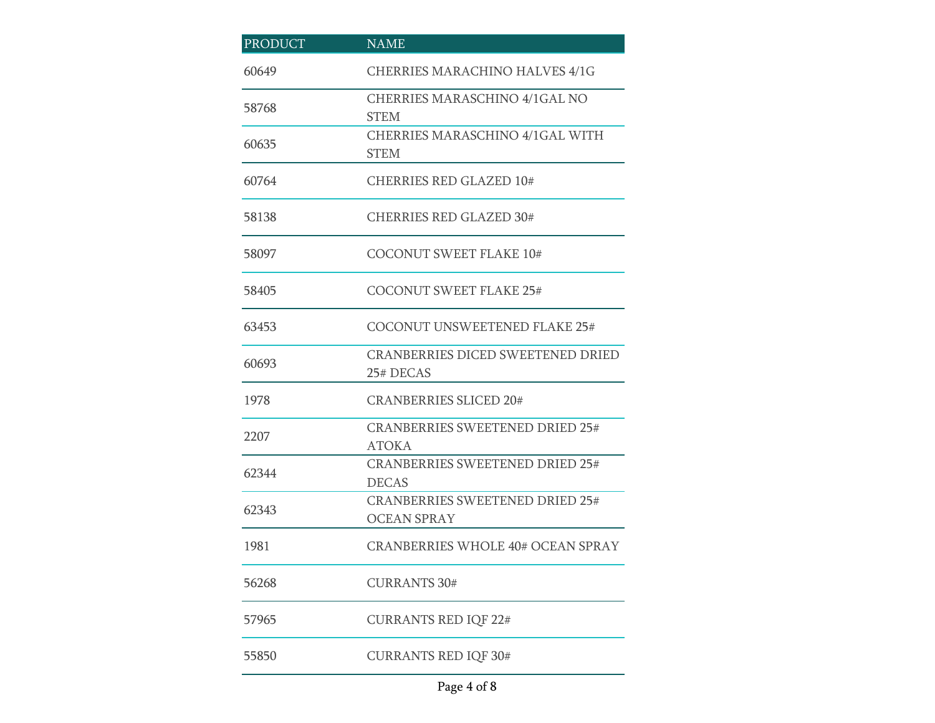| <b>PRODUCT</b> | <b>NAME</b>                                                  |
|----------------|--------------------------------------------------------------|
| 60649          | CHERRIES MARACHINO HALVES 4/1G                               |
| 58768          | <b>CHERRIES MARASCHINO 4/1GAL NO</b><br><b>STEM</b>          |
| 60635          | <b>CHERRIES MARASCHINO 4/1GAL WITH</b><br><b>STEM</b>        |
| 60764          | <b>CHERRIES RED GLAZED 10#</b>                               |
| 58138          | <b>CHERRIES RED GLAZED 30#</b>                               |
| 58097          | <b>COCONUT SWEET FLAKE 10#</b>                               |
| 58405          | <b>COCONUT SWEET FLAKE 25#</b>                               |
| 63453          | <b>COCONUT UNSWEETENED FLAKE 25#</b>                         |
| 60693          | <b>CRANBERRIES DICED SWEETENED DRIED</b><br>25# DECAS        |
| 1978           | <b>CRANBERRIES SLICED 20#</b>                                |
| 2207           | <b>CRANBERRIES SWEETENED DRIED 25#</b><br><b>ATOKA</b>       |
| 62344          | <b>CRANBERRIES SWEETENED DRIED 25#</b><br><b>DECAS</b>       |
| 62343          | <b>CRANBERRIES SWEETENED DRIED 25#</b><br><b>OCEAN SPRAY</b> |
| 1981           | <b>CRANBERRIES WHOLE 40# OCEAN SPRAY</b>                     |
| 56268          | <b>CURRANTS 30#</b>                                          |
| 57965          | <b>CURRANTS RED IQF 22#</b>                                  |
| 55850          | <b>CURRANTS RED IQF 30#</b>                                  |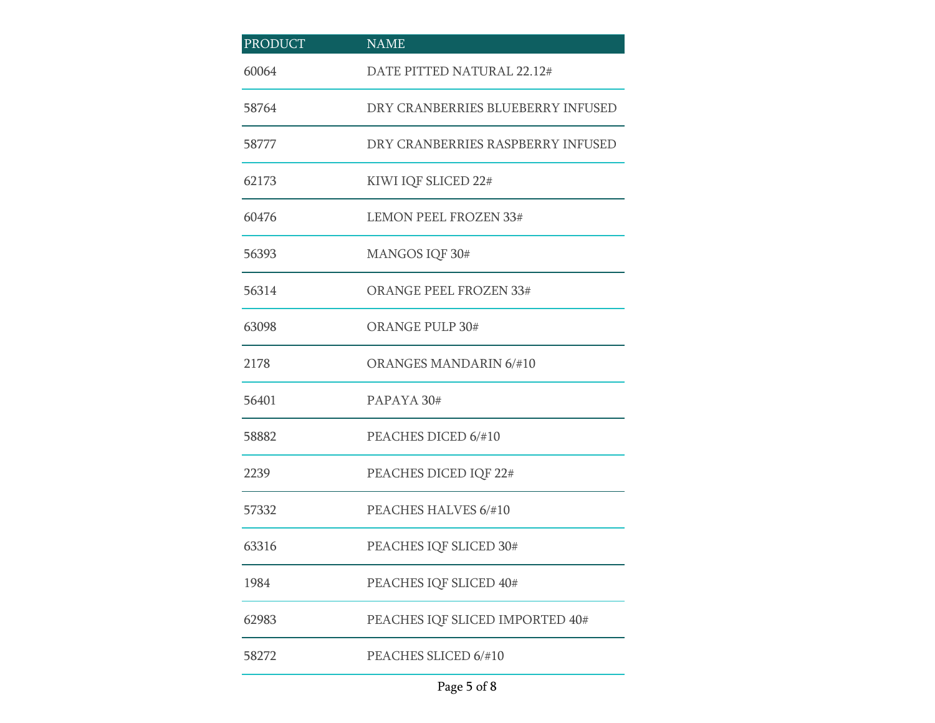| <b>PRODUCT</b> | <b>NAME</b>                       |
|----------------|-----------------------------------|
| 60064          | DATE PITTED NATURAL 22.12#        |
| 58764          | DRY CRANBERRIES BLUEBERRY INFUSED |
| 58777          | DRY CRANBERRIES RASPBERRY INFUSED |
| 62173          | KIWI IQF SLICED 22#               |
| 60476          | <b>LEMON PEEL FROZEN 33#</b>      |
| 56393          | MANGOS IQF 30#                    |
| 56314          | <b>ORANGE PEEL FROZEN 33#</b>     |
| 63098          | <b>ORANGE PULP 30#</b>            |
| 2178           | <b>ORANGES MANDARIN 6/#10</b>     |
| 56401          | PAPAYA 30#                        |
| 58882          | PEACHES DICED 6/#10               |
| 2239           | PEACHES DICED IQF 22#             |
| 57332          | PEACHES HALVES 6/#10              |
| 63316          | PEACHES IQF SLICED 30#            |
| 1984           | PEACHES IQF SLICED 40#            |
| 62983          | PEACHES IQF SLICED IMPORTED 40#   |
| 58272          | PEACHES SLICED 6/#10              |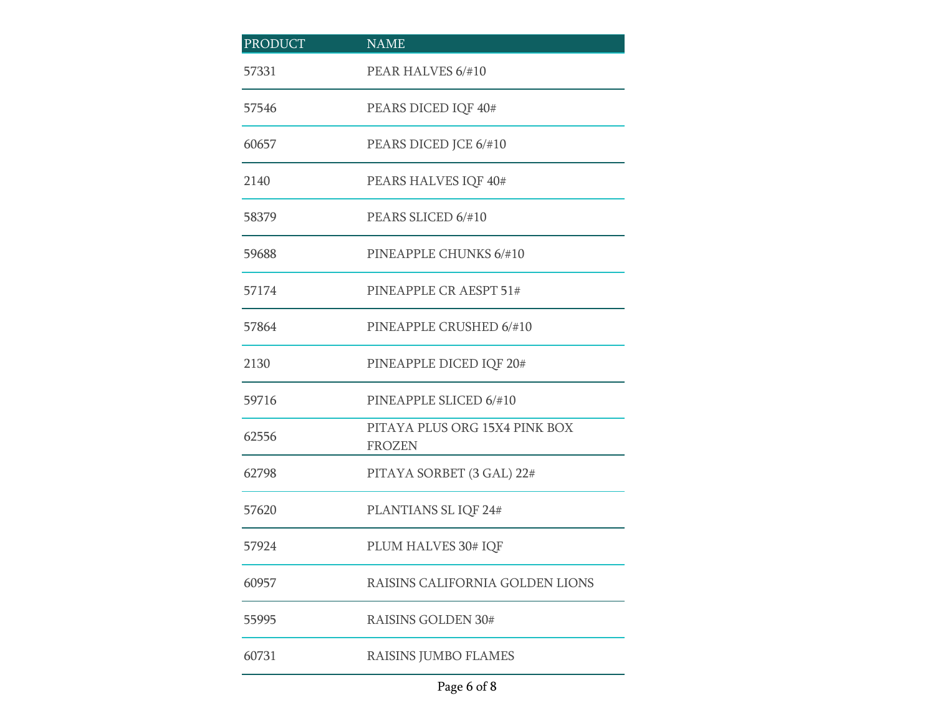| <b>PRODUCT</b> | <b>NAME</b>                                    |
|----------------|------------------------------------------------|
| 57331          | PEAR HALVES 6/#10                              |
| 57546          | PEARS DICED IQF 40#                            |
| 60657          | PEARS DICED JCE 6/#10                          |
| 2140           | PEARS HALVES IQF 40#                           |
| 58379          | PEARS SLICED 6/#10                             |
| 59688          | PINEAPPLE CHUNKS 6/#10                         |
| 57174          | PINEAPPLE CR AESPT 51#                         |
| 57864          | PINEAPPLE CRUSHED 6/#10                        |
| 2130           | PINEAPPLE DICED IQF 20#                        |
| 59716          | PINEAPPLE SLICED 6/#10                         |
| 62556          | PITAYA PLUS ORG 15X4 PINK BOX<br><b>FROZEN</b> |
| 62798          | PITAYA SORBET (3 GAL) 22#                      |
| 57620          | PLANTIANS SL IQF 24#                           |
| 57924          | PLUM HALVES 30# IQF                            |
| 60957          | RAISINS CALIFORNIA GOLDEN LIONS                |
| 55995          | <b>RAISINS GOLDEN 30#</b>                      |
| 60731          | RAISINS JUMBO FLAMES                           |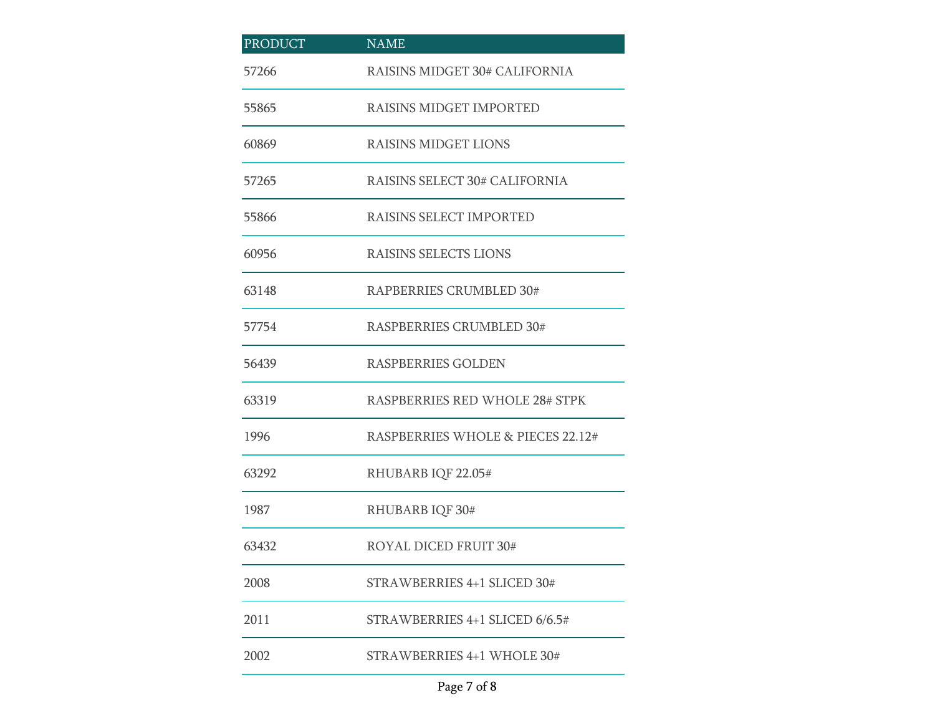| <b>PRODUCT</b> | <b>NAME</b>                       |
|----------------|-----------------------------------|
| 57266          | RAISINS MIDGET 30# CALIFORNIA     |
| 55865          | RAISINS MIDGET IMPORTED           |
| 60869          | <b>RAISINS MIDGET LIONS</b>       |
| 57265          | RAISINS SELECT 30# CALIFORNIA     |
| 55866          | RAISINS SELECT IMPORTED           |
| 60956          | RAISINS SELECTS LIONS             |
| 63148          | RAPBERRIES CRUMBLED 30#           |
| 57754          | RASPBERRIES CRUMBLED 30#          |
| 56439          | <b>RASPBERRIES GOLDEN</b>         |
| 63319          | RASPBERRIES RED WHOLE 28# STPK    |
| 1996           | RASPBERRIES WHOLE & PIECES 22.12# |
| 63292          | RHUBARB IQF 22.05#                |
| 1987           | RHUBARB IQF 30#                   |
| 63432          | <b>ROYAL DICED FRUIT 30#</b>      |
| 2008           | STRAWBERRIES 4+1 SLICED 30#       |
| 2011           | STRAWBERRIES $4+1$ SLICED 6/6.5#  |
| 2002           | STRAWBERRIES 4+1 WHOLE 30#        |